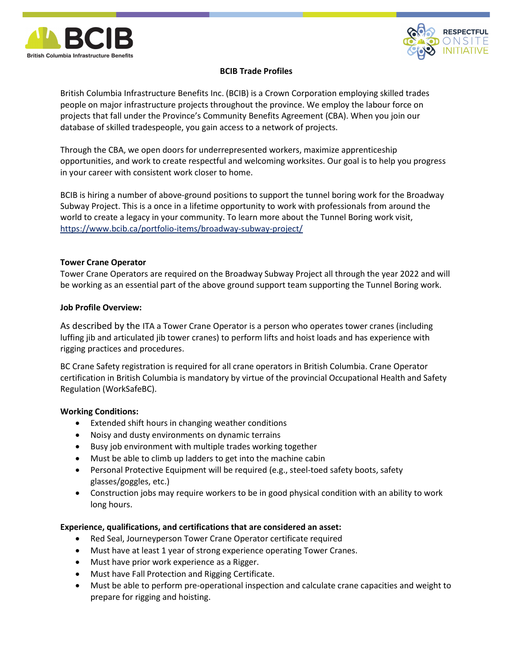



# BCIB Trade Profiles

British Columbia Infrastructure Benefits Inc. (BCIB) is a Crown Corporation employing skilled trades people on major infrastructure projects throughout the province. We employ the labour force on projects that fall under the Province's Community Benefits Agreement (CBA). When you join our database of skilled tradespeople, you gain access to a network of projects.

Through the CBA, we open doors for underrepresented workers, maximize apprenticeship opportunities, and work to create respectful and welcoming worksites. Our goal is to help you progress in your career with consistent work closer to home.

BCIB is hiring a number of above-ground positions to support the tunnel boring work for the Broadway Subway Project. This is a once in a lifetime opportunity to work with professionals from around the world to create a legacy in your community. To learn more about the Tunnel Boring work visit, https://www.bcib.ca/portfolio-items/broadway-subway-project/

## Tower Crane Operator

Tower Crane Operators are required on the Broadway Subway Project all through the year 2022 and will be working as an essential part of the above ground support team supporting the Tunnel Boring work.

#### Job Profile Overview:

As described by the ITA a Tower Crane Operator is a person who operates tower cranes (including luffing jib and articulated jib tower cranes) to perform lifts and hoist loads and has experience with rigging practices and procedures.

BC Crane Safety registration is required for all crane operators in British Columbia. Crane Operator certification in British Columbia is mandatory by virtue of the provincial Occupational Health and Safety Regulation (WorkSafeBC).

## Working Conditions:

- Extended shift hours in changing weather conditions
- Noisy and dusty environments on dynamic terrains
- Busy job environment with multiple trades working together
- Must be able to climb up ladders to get into the machine cabin
- Personal Protective Equipment will be required (e.g., steel-toed safety boots, safety glasses/goggles, etc.)
- Construction jobs may require workers to be in good physical condition with an ability to work long hours.

## Experience, qualifications, and certifications that are considered an asset:

- Red Seal, Journeyperson Tower Crane Operator certificate required
- Must have at least 1 year of strong experience operating Tower Cranes.
- Must have prior work experience as a Rigger.
- Must have Fall Protection and Rigging Certificate.
- Must be able to perform pre-operational inspection and calculate crane capacities and weight to prepare for rigging and hoisting.